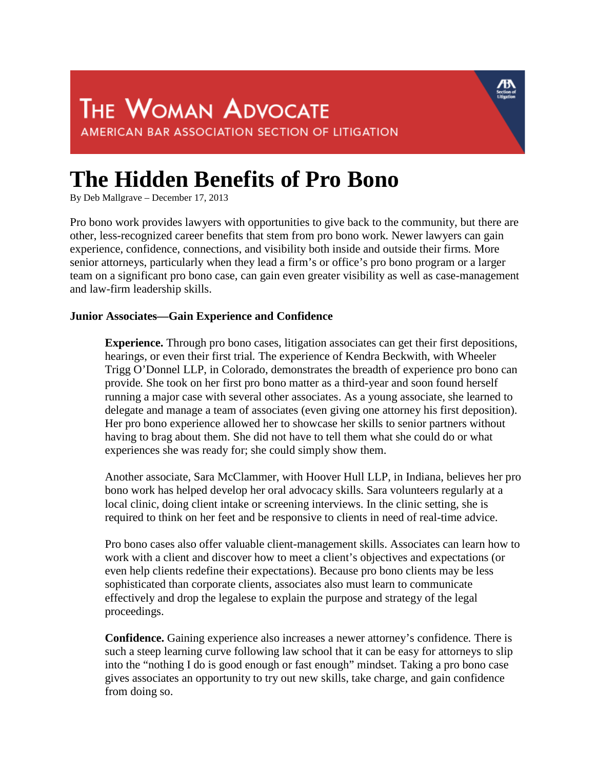## **The Hidden Benefits of Pro Bono**

By Deb Mallgrave – December 17, 2013

Pro bono work provides lawyers with opportunities to give back to the community, but there are other, less-recognized career benefits that stem from pro bono work*.* Newer lawyers can gain experience, confidence, connections, and visibility both inside and outside their firms*.* More senior attorneys, particularly when they lead a firm's or office's pro bono program or a larger team on a significant pro bono case, can gain even greater visibility as well as case-management and law-firm leadership skills.

## **Junior Associates—Gain Experience and Confidence**

**Experience.** Through pro bono cases, litigation associates can get their first depositions, hearings, or even their first trial*.* The experience of Kendra Beckwith, with Wheeler Trigg O'Donnel LLP, in Colorado, demonstrates the breadth of experience pro bono can provide*.* She took on her first pro bono matter as a third-year and soon found herself running a major case with several other associates. As a young associate, she learned to delegate and manage a team of associates (even giving one attorney his first deposition). Her pro bono experience allowed her to showcase her skills to senior partners without having to brag about them. She did not have to tell them what she could do or what experiences she was ready for; she could simply show them.

Another associate, Sara McClammer, with Hoover Hull LLP, in Indiana, believes her pro bono work has helped develop her oral advocacy skills. Sara volunteers regularly at a local clinic, doing client intake or screening interviews. In the clinic setting, she is required to think on her feet and be responsive to clients in need of real-time advice.

Pro bono cases also offer valuable client-management skills. Associates can learn how to work with a client and discover how to meet a client's objectives and expectations (or even help clients redefine their expectations). Because pro bono clients may be less sophisticated than corporate clients, associates also must learn to communicate effectively and drop the legalese to explain the purpose and strategy of the legal proceedings.

**Confidence.** Gaining experience also increases a newer attorney's confidence*.* There is such a steep learning curve following law school that it can be easy for attorneys to slip into the "nothing I do is good enough or fast enough" mindset. Taking a pro bono case gives associates an opportunity to try out new skills, take charge, and gain confidence from doing so.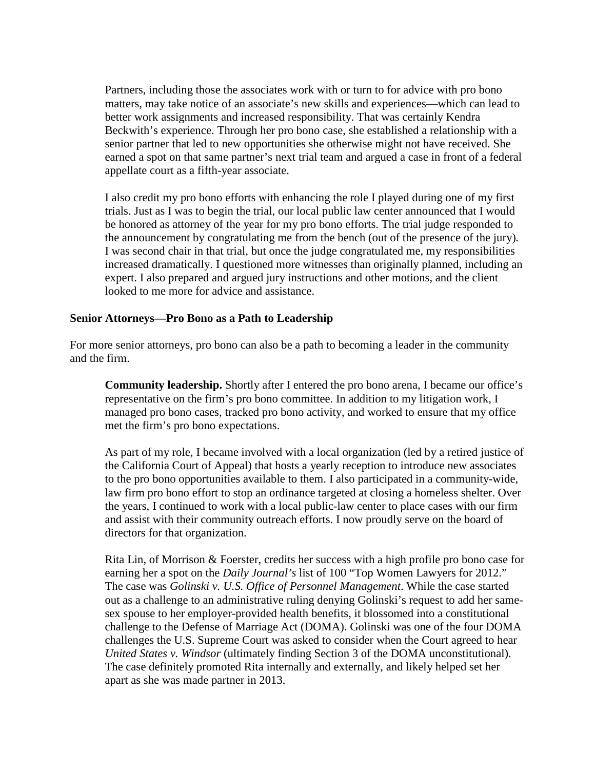Partners, including those the associates work with or turn to for advice with pro bono matters, may take notice of an associate's new skills and experiences—which can lead to better work assignments and increased responsibility. That was certainly Kendra Beckwith's experience. Through her pro bono case, she established a relationship with a senior partner that led to new opportunities she otherwise might not have received. She earned a spot on that same partner's next trial team and argued a case in front of a federal appellate court as a fifth-year associate.

I also credit my pro bono efforts with enhancing the role I played during one of my first trials. Just as I was to begin the trial, our local public law center announced that I would be honored as attorney of the year for my pro bono efforts. The trial judge responded to the announcement by congratulating me from the bench (out of the presence of the jury)*.* I was second chair in that trial, but once the judge congratulated me, my responsibilities increased dramatically. I questioned more witnesses than originally planned, including an expert. I also prepared and argued jury instructions and other motions, and the client looked to me more for advice and assistance.

## **Senior Attorneys—Pro Bono as a Path to Leadership**

For more senior attorneys, pro bono can also be a path to becoming a leader in the community and the firm.

**Community leadership.** Shortly after I entered the pro bono arena, I became our office's representative on the firm's pro bono committee. In addition to my litigation work, I managed pro bono cases, tracked pro bono activity, and worked to ensure that my office met the firm's pro bono expectations.

As part of my role, I became involved with a local organization (led by a retired justice of the California Court of Appeal) that hosts a yearly reception to introduce new associates to the pro bono opportunities available to them. I also participated in a community-wide, law firm pro bono effort to stop an ordinance targeted at closing a homeless shelter. Over the years, I continued to work with a local public-law center to place cases with our firm and assist with their community outreach efforts. I now proudly serve on the board of directors for that organization.

Rita Lin, of Morrison & Foerster, credits her success with a high profile pro bono case for earning her a spot on the *Daily Journal's* list of 100 "Top Women Lawyers for 2012." The case was *Golinski v. U.S. Office of Personnel Management*. While the case started out as a challenge to an administrative ruling denying Golinski's request to add her samesex spouse to her employer-provided health benefits, it blossomed into a constitutional challenge to the Defense of Marriage Act (DOMA). Golinski was one of the four DOMA challenges the U.S. Supreme Court was asked to consider when the Court agreed to hear *United States v. Windsor* (ultimately finding Section 3 of the DOMA unconstitutional). The case definitely promoted Rita internally and externally, and likely helped set her apart as she was made partner in 2013.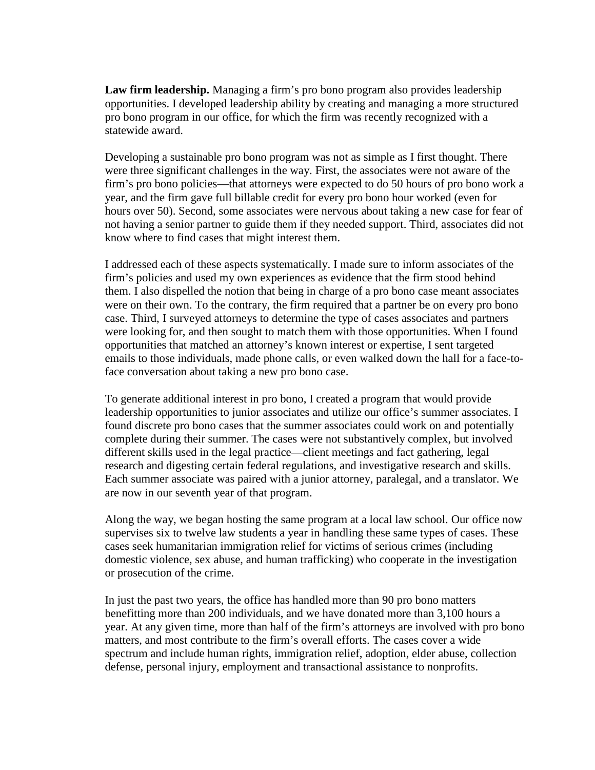**Law firm leadership.** Managing a firm's pro bono program also provides leadership opportunities. I developed leadership ability by creating and managing a more structured pro bono program in our office, for which the firm was recently recognized with a statewide award.

Developing a sustainable pro bono program was not as simple as I first thought. There were three significant challenges in the way. First, the associates were not aware of the firm's pro bono policies—that attorneys were expected to do 50 hours of pro bono work a year, and the firm gave full billable credit for every pro bono hour worked (even for hours over 50). Second, some associates were nervous about taking a new case for fear of not having a senior partner to guide them if they needed support. Third, associates did not know where to find cases that might interest them.

I addressed each of these aspects systematically. I made sure to inform associates of the firm's policies and used my own experiences as evidence that the firm stood behind them. I also dispelled the notion that being in charge of a pro bono case meant associates were on their own. To the contrary, the firm required that a partner be on every pro bono case. Third, I surveyed attorneys to determine the type of cases associates and partners were looking for, and then sought to match them with those opportunities. When I found opportunities that matched an attorney's known interest or expertise, I sent targeted emails to those individuals, made phone calls, or even walked down the hall for a face-toface conversation about taking a new pro bono case.

To generate additional interest in pro bono, I created a program that would provide leadership opportunities to junior associates and utilize our office's summer associates. I found discrete pro bono cases that the summer associates could work on and potentially complete during their summer. The cases were not substantively complex, but involved different skills used in the legal practice—client meetings and fact gathering, legal research and digesting certain federal regulations, and investigative research and skills. Each summer associate was paired with a junior attorney, paralegal, and a translator. We are now in our seventh year of that program.

Along the way, we began hosting the same program at a local law school. Our office now supervises six to twelve law students a year in handling these same types of cases. These cases seek humanitarian immigration relief for victims of serious crimes (including domestic violence, sex abuse, and human trafficking) who cooperate in the investigation or prosecution of the crime.

In just the past two years, the office has handled more than 90 pro bono matters benefitting more than 200 individuals, and we have donated more than 3,100 hours a year. At any given time, more than half of the firm's attorneys are involved with pro bono matters, and most contribute to the firm's overall efforts. The cases cover a wide spectrum and include human rights, immigration relief, adoption, elder abuse, collection defense, personal injury, employment and transactional assistance to nonprofits.